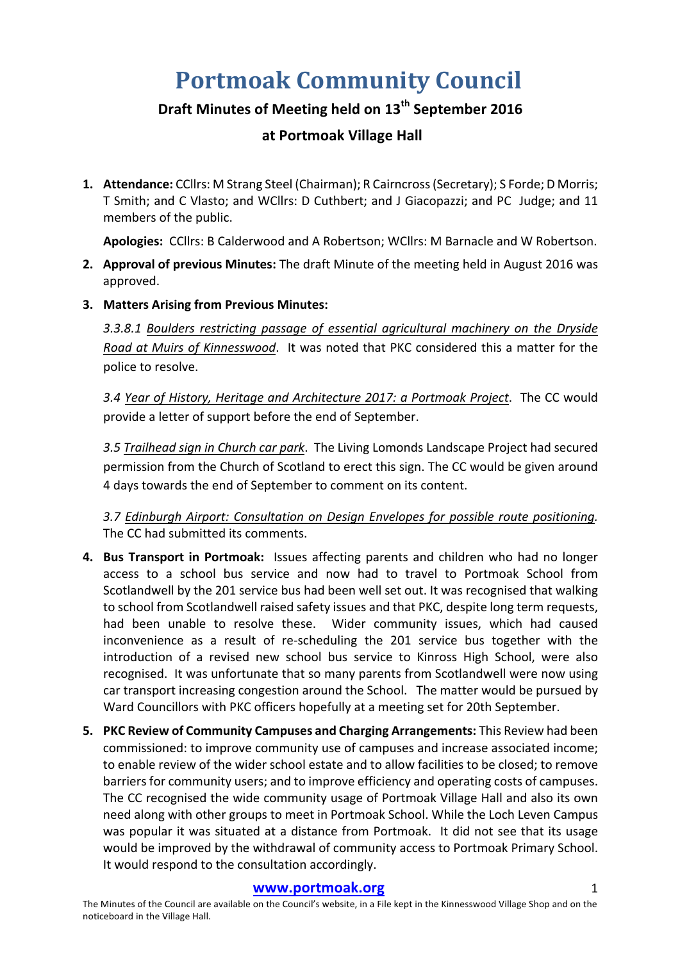# **Portmoak Community Council**

# **Draft Minutes of Meeting held on 13th September 2016**

## **at Portmoak Village Hall**

1. **Attendance:** CCllrs: M Strang Steel (Chairman); R Cairncross (Secretary); S Forde; D Morris; T Smith; and C Vlasto; and WCllrs: D Cuthbert; and J Giacopazzi; and PC Judge; and 11 members of the public.

Apologies: CCllrs: B Calderwood and A Robertson; WCllrs: M Barnacle and W Robertson.

- **2. Approval of previous Minutes:** The draft Minute of the meeting held in August 2016 was approved.
- **3. Matters Arising from Previous Minutes:**

3.3.8.1 Boulders restricting passage of essential agricultural machinery on the Dryside *Road at Muirs of Kinnesswood.* It was noted that PKC considered this a matter for the police to resolve.

3.4 Year of History, Heritage and Architecture 2017: a Portmoak Project. The CC would provide a letter of support before the end of September.

3.5 *Trailhead sign in Church car park*. The Living Lomonds Landscape Project had secured permission from the Church of Scotland to erect this sign. The CC would be given around 4 days towards the end of September to comment on its content.

3.7 Edinburgh Airport: Consultation on Design Envelopes for possible route positioning. The CC had submitted its comments.

- **4. Bus Transport in Portmoak:** Issues affecting parents and children who had no longer access to a school bus service and now had to travel to Portmoak School from Scotlandwell by the 201 service bus had been well set out. It was recognised that walking to school from Scotlandwell raised safety issues and that PKC, despite long term requests, had been unable to resolve these. Wider community issues, which had caused inconvenience as a result of re-scheduling the 201 service bus together with the introduction of a revised new school bus service to Kinross High School, were also recognised. It was unfortunate that so many parents from Scotlandwell were now using car transport increasing congestion around the School. The matter would be pursued by Ward Councillors with PKC officers hopefully at a meeting set for 20th September.
- **5. PKC Review of Community Campuses and Charging Arrangements:** This Review had been commissioned: to improve community use of campuses and increase associated income; to enable review of the wider school estate and to allow facilities to be closed; to remove barriers for community users; and to improve efficiency and operating costs of campuses. The CC recognised the wide community usage of Portmoak Village Hall and also its own need along with other groups to meet in Portmoak School. While the Loch Leven Campus was popular it was situated at a distance from Portmoak. It did not see that its usage would be improved by the withdrawal of community access to Portmoak Primary School. It would respond to the consultation accordingly.

#### **www.portmoak.org** 1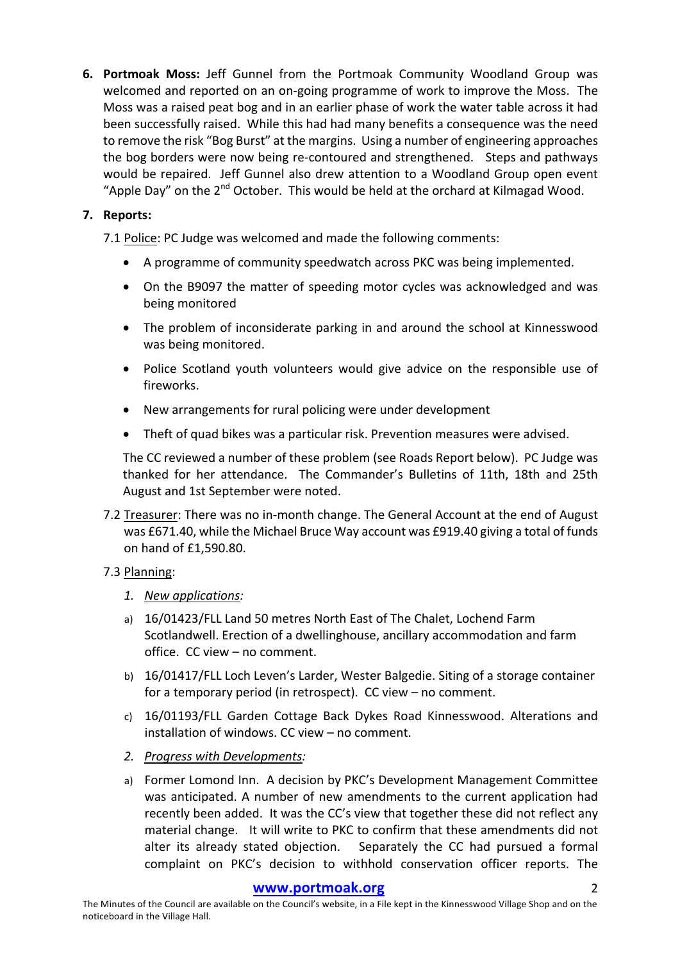**6. Portmoak Moss:** Jeff Gunnel from the Portmoak Community Woodland Group was welcomed and reported on an on-going programme of work to improve the Moss. The Moss was a raised peat bog and in an earlier phase of work the water table across it had been successfully raised. While this had had many benefits a consequence was the need to remove the risk "Bog Burst" at the margins. Using a number of engineering approaches the bog borders were now being re-contoured and strengthened. Steps and pathways would be repaired. Jeff Gunnel also drew attention to a Woodland Group open event "Apple Day" on the  $2<sup>nd</sup>$  October. This would be held at the orchard at Kilmagad Wood.

### **7. Reports:**

7.1 Police: PC Judge was welcomed and made the following comments:

- A programme of community speedwatch across PKC was being implemented.
- On the B9097 the matter of speeding motor cycles was acknowledged and was being monitored
- The problem of inconsiderate parking in and around the school at Kinnesswood was being monitored.
- Police Scotland youth volunteers would give advice on the responsible use of fireworks.
- New arrangements for rural policing were under development
- Theft of quad bikes was a particular risk. Prevention measures were advised.

The CC reviewed a number of these problem (see Roads Report below). PC Judge was thanked for her attendance. The Commander's Bulletins of 11th, 18th and 25th August and 1st September were noted.

7.2 Treasurer: There was no in-month change. The General Account at the end of August was £671.40, while the Michael Bruce Way account was £919.40 giving a total of funds on hand of £1,590.80.

### 7.3 Planning:

- *1. New applications:*
- a) 16/01423/FLL Land 50 metres North East of The Chalet, Lochend Farm Scotlandwell. Erection of a dwellinghouse, ancillary accommodation and farm office. CC view - no comment.
- b) 16/01417/FLL Loch Leven's Larder, Wester Balgedie. Siting of a storage container for a temporary period (in retrospect).  $CC$  view  $-$  no comment.
- c) 16/01193/FLL Garden Cottage Back Dykes Road Kinnesswood. Alterations and installation of windows. CC view - no comment.
- *2. Progress with Developments:*
- a) Former Lomond Inn. A decision by PKC's Development Management Committee was anticipated. A number of new amendments to the current application had recently been added. It was the CC's view that together these did not reflect any material change. It will write to PKC to confirm that these amendments did not alter its already stated objection. Separately the CC had pursued a formal complaint on PKC's decision to withhold conservation officer reports. The

#### **www.portmoak.org** 2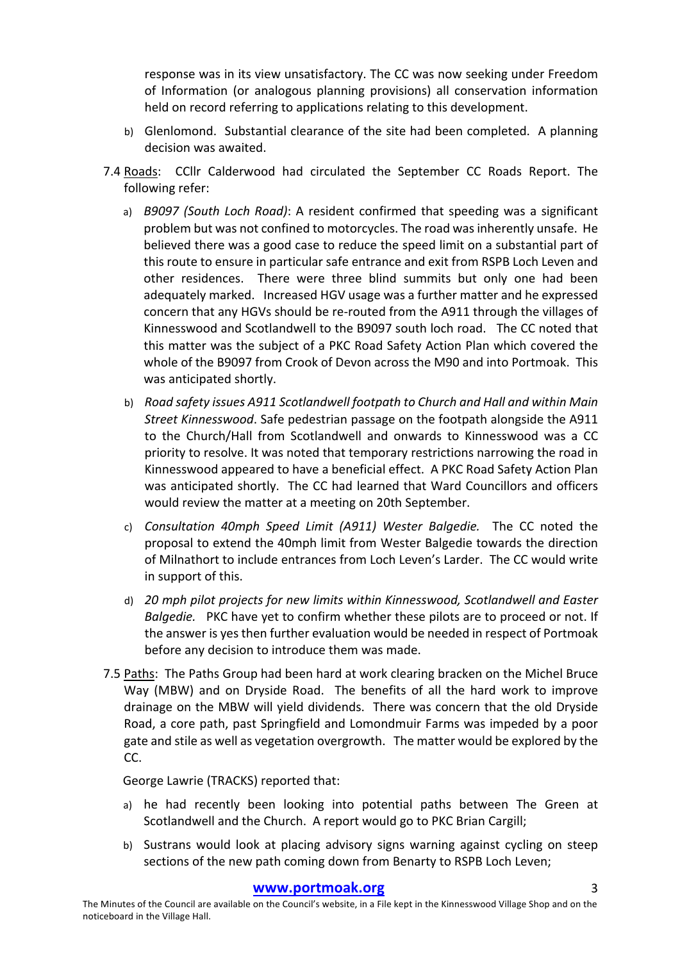response was in its view unsatisfactory. The CC was now seeking under Freedom of Information (or analogous planning provisions) all conservation information held on record referring to applications relating to this development.

- b) Glenlomond. Substantial clearance of the site had been completed. A planning decision was awaited.
- 7.4 Roads: CCllr Calderwood had circulated the September CC Roads Report. The following refer:
	- a) *B9097 (South Loch Road)*: A resident confirmed that speeding was a significant problem but was not confined to motorcycles. The road was inherently unsafe. He believed there was a good case to reduce the speed limit on a substantial part of this route to ensure in particular safe entrance and exit from RSPB Loch Leven and other residences. There were three blind summits but only one had been adequately marked. Increased HGV usage was a further matter and he expressed concern that any HGVs should be re-routed from the A911 through the villages of Kinnesswood and Scotlandwell to the B9097 south loch road. The CC noted that this matter was the subject of a PKC Road Safety Action Plan which covered the whole of the B9097 from Crook of Devon across the M90 and into Portmoak. This was anticipated shortly.
	- b) *Road safety issues A911 Scotlandwell footpath to Church and Hall and within Main Street Kinnesswood*. Safe pedestrian passage on the footpath alongside the A911 to the Church/Hall from Scotlandwell and onwards to Kinnesswood was a CC priority to resolve. It was noted that temporary restrictions narrowing the road in Kinnesswood appeared to have a beneficial effect. A PKC Road Safety Action Plan was anticipated shortly. The CC had learned that Ward Councillors and officers would review the matter at a meeting on 20th September.
	- c) *Consultation 40mph Speed Limit (A911)* Wester Balgedie. The CC noted the proposal to extend the 40mph limit from Wester Balgedie towards the direction of Milnathort to include entrances from Loch Leven's Larder. The CC would write in support of this.
	- d) 20 mph pilot projects for new limits within Kinnesswood, Scotlandwell and Easter *Balgedie.* PKC have yet to confirm whether these pilots are to proceed or not. If the answer is ves then further evaluation would be needed in respect of Portmoak before any decision to introduce them was made.
- 7.5 Paths: The Paths Group had been hard at work clearing bracken on the Michel Bruce Way (MBW) and on Dryside Road. The benefits of all the hard work to improve drainage on the MBW will yield dividends. There was concern that the old Dryside Road, a core path, past Springfield and Lomondmuir Farms was impeded by a poor gate and stile as well as vegetation overgrowth. The matter would be explored by the CC.

George Lawrie (TRACKS) reported that:

- a) he had recently been looking into potential paths between The Green at Scotlandwell and the Church. A report would go to PKC Brian Cargill;
- b) Sustrans would look at placing advisory signs warning against cycling on steep sections of the new path coming down from Benarty to RSPB Loch Leven;